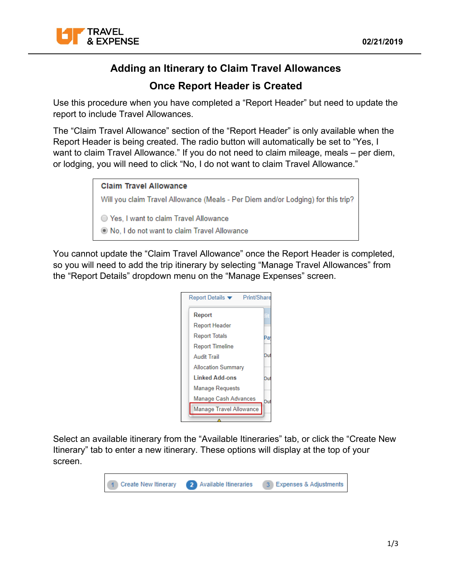

## **Adding an Itinerary to Claim Travel Allowances**

#### **Once Report Header is Created**

Use this procedure when you have completed a "Report Header" but need to update the report to include Travel Allowances.

The "Claim Travel Allowance" section of the "Report Header" is only available when the Report Header is being created. The radio button will automatically be set to "Yes, I want to claim Travel Allowance." If you do not need to claim mileage, meals – per diem, or lodging, you will need to click "No, I do not want to claim Travel Allowance."

| <b>Claim Travel Allowance</b>                                                    |
|----------------------------------------------------------------------------------|
| Will you claim Travel Allowance (Meals - Per Diem and/or Lodging) for this trip? |
| ◯ Yes, I want to claim Travel Allowance                                          |
| O No, I do not want to claim Travel Allowance                                    |

You cannot update the "Claim Travel Allowance" once the Report Header is completed, so you will need to add the trip itinerary by selecting "Manage Travel Allowances" from the "Report Details" dropdown menu on the "Manage Expenses" screen.

| Report Details ▼ Print/Share |     |
|------------------------------|-----|
| Report                       | Ħ   |
| <b>Report Header</b>         |     |
| <b>Report Totals</b>         |     |
| <b>Report Timeline</b>       |     |
| Audit Trail                  | Οu  |
| <b>Allocation Summary</b>    |     |
| <b>Linked Add-ons</b>        | Ou  |
| <b>Manage Requests</b>       |     |
| Manage Cash Advances         | Dut |
| Manage Travel Allowance      |     |
|                              |     |

Select an available itinerary from the "Available Itineraries" tab, or click the "Create New Itinerary" tab to enter a new itinerary. These options will display at the top of your screen.

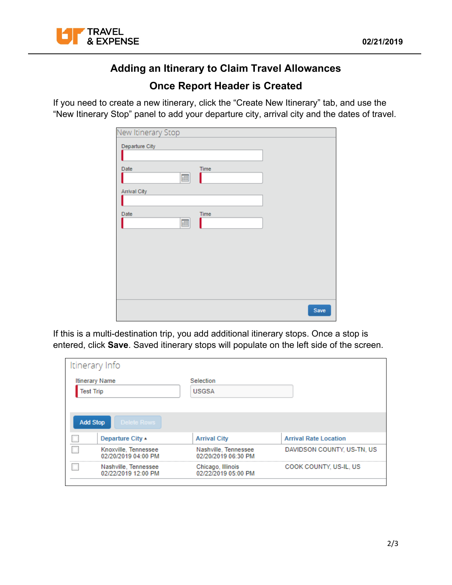

## **Adding an Itinerary to Claim Travel Allowances**

### **Once Report Header is Created**

If you need to create a new itinerary, click the "Create New Itinerary" tab, and use the "New Itinerary Stop" panel to add your departure city, arrival city and the dates of travel.

| New Itinerary Stop  |      |      |
|---------------------|------|------|
| Departure City      |      |      |
|                     |      |      |
| Date                | Time |      |
| <b>E</b>            |      |      |
| <b>Arrival City</b> |      |      |
|                     |      |      |
| Date                | Time |      |
| $\blacksquare$      |      |      |
|                     |      |      |
|                     |      |      |
|                     |      |      |
|                     |      |      |
|                     |      |      |
|                     |      |      |
|                     |      |      |
|                     |      | Save |

If this is a multi-destination trip, you add additional itinerary stops. Once a stop is entered, click **Save**. Saved itinerary stops will populate on the left side of the screen.

| Itinerary Info                              |                                             |                              |  |  |  |  |
|---------------------------------------------|---------------------------------------------|------------------------------|--|--|--|--|
| <b>Itinerary Name</b>                       | Selection                                   |                              |  |  |  |  |
| <b>Test Trip</b>                            | <b>USGSA</b>                                |                              |  |  |  |  |
|                                             |                                             |                              |  |  |  |  |
| Delete Rows<br><b>Add Stop</b>              |                                             |                              |  |  |  |  |
| Departure City $\triangle$                  | <b>Arrival City</b>                         | <b>Arrival Rate Location</b> |  |  |  |  |
| Knoxville, Tennessee<br>02/20/2019 04:00 PM | Nashville, Tennessee<br>02/20/2019 06:30 PM | DAVIDSON COUNTY, US-TN, US   |  |  |  |  |
| Nashville, Tennessee<br>02/22/2019 12:00 PM | Chicago, Illinois<br>02/22/2019 05:00 PM    | COOK COUNTY, US-IL, US       |  |  |  |  |